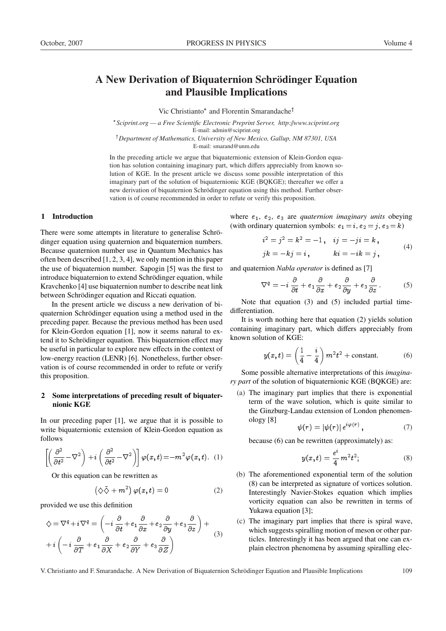# A New Derivation of Biquaternion Schrödinger Equation and Plausible Implications

Vic Christianto\* and Florentin Smarandache<sup>†</sup>

 *Sciprint.org — a Free Scientific Electronic Preprint Server, http:*//*www.sciprint.org* E-mail: admin@sciprint.org

<sup>†</sup>Department of Mathematics, University of New Mexico, Gallup, NM 87301, USA E-mail: smarand@unm.edu

In the preceding article we argue that biquaternionic extension of Klein-Gordon equation has solution containing imaginary part, which differs appreciably from known solution of KGE. In the present article we discuss some possible interpretation of this imaginary part of the solution of biquaternionic KGE (BQKGE); thereafter we offer a new derivation of biquaternion Schrödinger equation using this method. Further observation is of course recommended in order to refute or verify this proposition.

# 1 Introduction

There were some attempts in literature to generalise Schrödinger equation using quaternion and biquaternion numbers. Because quaternion number use in Quantum Mechanics has often been described [1, 2, 3, 4], we only mention in this paper the use of biquaternion number. Sapogin [5] was the first to introduce biquaternion to extend Schrödinger equation, while Kravchenko [4] use biquaternion number to describe neat link between Schrödinger equation and Riccati equation.

In the present article we discuss a new derivation of biquaternion Schrödinger equation using a method used in the preceding paper. Because the previous method has been used for Klein-Gordon equation [1], now it seems natural to extend it to Schrödinger equation. This biquaternion effect may be useful in particular to explore new effects in the context of low-energy reaction (LENR) [6]. Nonetheless, further observation is of course recommended in order to refute or verify this proposition.

## 2 Some interpretations of preceding result of biquaternionic KGE

In our preceding paper [1], we argue that it is possible to write biquaternionic extension of Klein-Gordon equation as follows

$$
\left[ \left( \frac{\partial^2}{\partial t^2} - \nabla^2 \right) + i \left( \frac{\partial^2}{\partial t^2} - \nabla^2 \right) \right] \varphi(x, t) = -m^2 \varphi(x, t). \quad (1)
$$

Or this equation can be rewritten as

$$
(\diamondsuit \bar{\diamondsuit} + m^2) \varphi(x, t) = 0 \tag{2}
$$

provided we use this definition

$$
\diamondsuit = \nabla^q + i \nabla^q = \left( -i \frac{\partial}{\partial t} + e_1 \frac{\partial}{\partial x} + e_2 \frac{\partial}{\partial y} + e_3 \frac{\partial}{\partial z} \right) + i \left( -i \frac{\partial}{\partial T} + e_1 \frac{\partial}{\partial X} + e_2 \frac{\partial}{\partial Y} + e_3 \frac{\partial}{\partial Z} \right)
$$
\n(3)

where  $e_1$ ,  $e_2$ ,  $e_3$  are *quaternion imaginary units* obeying (with ordinary quaternion symbols:  $e_1 = i$ ,  $e_2 = j$ ,  $e_3 = k$ )

$$
i^2 = j^2 = k^2 = -1
$$
,  $ij = -ji = k$ ,  
\n $jk = -kj = i$ ,  $ki = -ik = j$ , (4)

and quaternion *Nabla operator* is defined as [7]

$$
\nabla^q = -i\frac{\partial}{\partial t} + e_1 \frac{\partial}{\partial x} + e_2 \frac{\partial}{\partial y} + e_3 \frac{\partial}{\partial z}.
$$
 (5)

Note that equation (3) and (5) included partial timedifferentiation.

It is worth nothing here that equation (2) yields solution containing imaginary part, which differs appreciably from known solution of KGE:

$$
y(x,t) = \left(\frac{1}{4} - \frac{i}{4}\right)m^2t^2 + \text{constant.}
$$
 (6)

Some possible alternative interpretations of this *imaginary part* of the solution of biquaternionic KGE (BQKGE) are:

(a) The imaginary part implies that there is exponential term of the wave solution, which is quite similar to the Ginzburg-Landau extension of London phenomenology [8]

$$
\psi(r) = |\psi(r)| e^{i\varphi(r)}, \qquad (7)
$$

because (6) can be rewritten (approximately) as:

$$
y(x,t) = \frac{e^i}{4} m^2 t^2; \tag{8}
$$

- (b) The aforementioned exponential term of the solution (8) can be interpreted as signature of vortices solution. Interestingly Navier-Stokes equation which implies vorticity equation can also be rewritten in terms of Yukawa equation [3];
- (c) The imaginary part implies that there is spiral wave, which suggests spiralling motion of meson or other particles. Interestingly it has been argued that one can explain electron phenomena by assuming spiralling elec-

V. Christianto and F. Smarandache. A New Derivation of Biquaternion Schrodinger Equation and Plausible Implications 109 ¨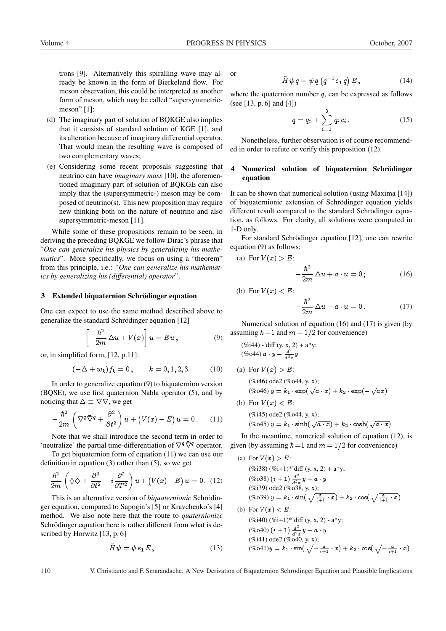trons [9]. Alternatively this spiralling wave may already be known in the form of Bierkeland flow. For meson observation, this could be interpreted as another form of meson, which may be called "supersymmetricmeson" [1];

- (d) The imaginary part of solution of BQKGE also implies that it consists of standard solution of KGE [1], and its alteration because of imaginary differential operator. That would mean the resulting wave is composed of two complementary waves;
- (e) Considering some recent proposals suggesting that neutrino can have *imaginary mass* [10], the aforementioned imaginary part of solution of BQKGE can also imply that the (supersymmetric-) meson may be composed of neutrino(s). This new proposition may require new thinking both on the nature of neutrino and also supersymmetric-meson [11].

While some of these propositions remain to be seen, in deriving the preceding BQKGE we follow Dirac's phrase that "*One can generalize his physics by generalizing his mathematics*". More specifically, we focus on using a "theorem" from this principle, i.e.: "*One can generalize his mathematics by generalizing his (di*ff*erential) operator*".

#### 3 Extended biquaternion Schrödinger equation

One can expect to use the same method described above to generalize the standard Schrödinger equation [12]

$$
\left[-\frac{\hbar^2}{2m}\Delta u + V(x)\right]u = Eu,
$$
\n(9)

or, in simplified form, [12, p.11]:

$$
(-\Delta + w_k) f_k = 0, \qquad k = 0, 1, 2, 3. \tag{10}
$$

In order to generalize equation (9) to biquaternion version (BQSE), we use first quaternion Nabla operator (5), and by noticing that  $\Delta \equiv \nabla \nabla$ , we get

$$
-\frac{\hbar^2}{2m}\left(\nabla^q\bar{\nabla}^q+\frac{\partial^2}{\partial t^2}\right)u+\left(V(x)-E\right)u=0.\qquad(11)
$$

Note that we shall introduce the second term in order to 'neutralize' the partial time-differentiation of  $\nabla^q \bar{\nabla}^q$  operator.

To get biquaternion form of equation (11) we can use our definition in equation (3) rather than (5), so we get

$$
-\frac{\hbar^2}{2m}\left(\diamond\bar{\diamond} + \frac{\partial^2}{\partial t^2} - i\frac{\partial^2}{\partial T^2}\right)u + \left(V(x) - E\right)u = 0. (12)
$$

This is an alternative version of *biquaternionic* Schrödinger equation, compared to Sapogin's [5] or Kravchenko's [4] method. We also note here that the route to *quaternionize* Schrödinger equation here is rather different from what is described by Horwitz [13, p. 6]

$$
\tilde{H}\,\psi = \psi\,e_1\,E\,,\tag{13}
$$

or

$$
\tilde{H}\,\psi\,q\,=\,\psi\,q\,\left(q^{-1}\,e_{1}\,q\right)E\,,\tag{14}
$$

where the quaternion number  $q$ , can be expressed as follows (see [13, p. 6] and [4])

$$
q = q_0 + \sum_{i=1}^{3} q_i e_i.
$$
 (15)

Nonetheless, further observation is of course recommended in order to refute or verify this proposition (12).

## 4 Numerical solution of biquaternion Schrödinger equation

It can be shown that numerical solution (using Maxima [14]) of biquaternionic extension of Schrödinger equation yields different result compared to the standard Schrödinger equation, as follows. For clarity, all solutions were computed in 1-D only.

For standard Schrödinger equation [12], one can rewrite equation (9) as follows:

(a) For 
$$
V(x) > E
$$
:

$$
-\frac{\hbar^2}{2m}\Delta u + a \cdot u = 0 \tag{16}
$$

(b) For 
$$
V(x) < E
$$
:

$$
-\frac{\hbar^2}{2m}\Delta u - a \cdot u = 0. \qquad (17)
$$

Numerical solution of equation (16) and (17) is given (by assuming  $\hbar = 1$  and  $m = 1/2$  for convenience)

(*%*i44) - 'diff (y, x, 2) + a\*y;  
(*%*o44) 
$$
a \cdot y - \frac{d^2}{d^2x}y
$$

\n- (a) For 
$$
V(x) > E
$$
:\n  $(\%i46) \text{ ode2 } (\%o44, y, x);$ \n $(\%o46) y = k_1 \cdot \exp(\sqrt{a \cdot x}) + k_2 \cdot \exp(-\sqrt{ax})$ \n
\n- (b) For  $V(x) < E$ :\n  $(\%i45) \text{ ode2 } (\%o44, y, x);$ \n
\n

$$
(\%045) \text{ g} = k_1 \cdot \sinh(\sqrt{a \cdot x}) + k_2 \cdot \cosh(\sqrt{a \cdot x})
$$

In the meantime, numerical solution of equation (12), is given (by assuming  $\hbar = 1$  and  $m = 1/2$  for convenience)

(a) For 
$$
V(x) > E
$$
:  
\n $(\%i38) (\%i+1)^* \text{diff } (y, x, 2) + a^*y$ ;  
\n $(\%o38) (i + 1) \frac{d^2}{d^2x} y + a \cdot y$   
\n $(\%i39) \text{ ode2 } (\%o38, y, x)$ ;  
\n $(\%o39) y = k_1 \cdot \sin(\sqrt{\frac{a}{i+1} \cdot x}) + k_2 \cdot \cos(\sqrt{\frac{a}{i+1} \cdot x})$   
\n(b) For  $V(x) < E$ :  
\n $(\%i40) (\%i+1)^* \text{diff } (y, x, 2) - a^*y$ ;  
\n $(\%o40) (i + 1) \frac{d^2}{d^2x} y - a \cdot y$   
\n $(\%i41) \text{ ode2 } (\%o40, y, x)$ ;  
\n $(\%o41)y = k_1 \cdot \sin(\sqrt{-\frac{a}{i+1} \cdot x}) + k_2 \cdot \cos(\sqrt{-\frac{a}{i+1} \cdot x})$ 

110 V. Christianto and F. Smarandache. A New Derivation of Biquaternion Schrödinger Equation and Plausible Implications